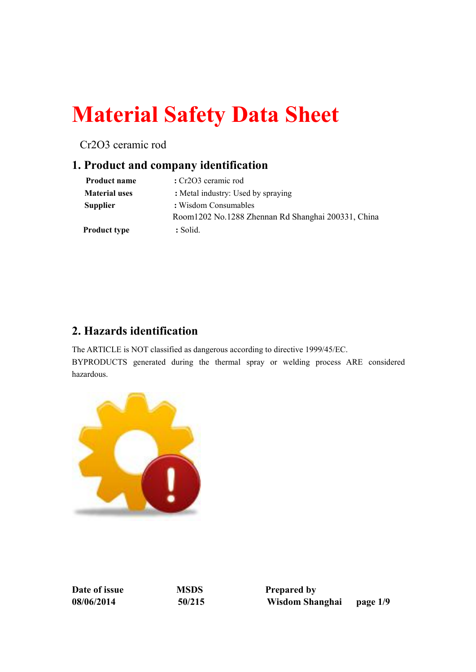# **Material Safety Data Sheet**

Cr2O3 ceramic rod

## **1. Product and company identification**

| <b>Product name</b>  | : Cr2O3 ceramic rod                                |
|----------------------|----------------------------------------------------|
| <b>Material uses</b> | : Metal industry: Used by spraying                 |
| <b>Supplier</b>      | : Wisdom Consumables                               |
|                      | Room1202 No.1288 Zhennan Rd Shanghai 200331, China |
| <b>Product type</b>  | : Solid.                                           |

# **2. Hazards identification**

The ARTICLE is NOT classified as dangerous according to directive 1999/45/EC. BYPRODUCTS generated during the thermal spray or welding process ARE considered hazardous.



**Date of issue MSDS Prepared by**

**08/06/2014 50/215 Wisdom Shanghai page 1/9**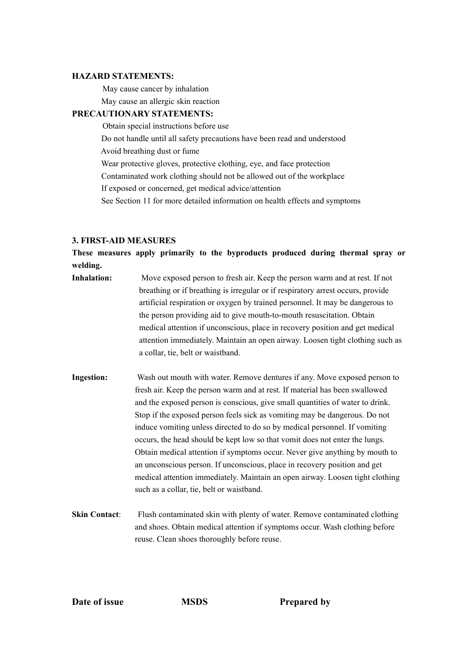#### **HAZARD STATEMENTS:**

May cause cancer by inhalation

May cause an allergic skin reaction

## **PRECAUTIONARY STATEMENTS:**

Obtain special instructions before use Do not handle until all safety precautions have been read and understood

Avoid breathing dust or fume

Wear protective gloves, protective clothing, eye, and face protection

Contaminated work clothing should not be allowed out of the workplace

If exposed or concerned, get medical advice/attention

See Section 11 for more detailed information on health effects and symptoms

## **3. FIRST-AID MEASURES**

**These measures apply primarily to the byproducts produced during thermal spray or welding.**

- **Inhalation:** Move exposed person to fresh air. Keep the person warm and at rest. If not breathing or if breathing is irregular or if respiratory arrest occurs, provide artificial respiration or oxygen by trained personnel. It may be dangerous to the person providing aid to give mouth-to-mouth resuscitation. Obtain medical attention if unconscious, place in recovery position and get medical attention immediately. Maintain an open airway. Loosen tight clothing such as a collar, tie, belt or waistband.
- **Ingestion:** Wash out mouth with water. Remove dentures if any. Move exposed person to fresh air. Keep the person warm and at rest. If material has been swallowed and the exposed person is conscious, give small quantities of water to drink. Stop if the exposed person feels sick as vomiting may be dangerous. Do not induce vomiting unless directed to do so by medical personnel. If vomiting occurs, the head should be kept low so that vomit does not enter the lungs. Obtain medical attention if symptoms occur. Never give anything by mouth to an unconscious person. If unconscious, place in recovery position and get medical attention immediately. Maintain an open airway. Loosen tight clothing such as a collar, tie, belt or waistband.
- **Skin Contact:** Flush contaminated skin with plenty of water. Remove contaminated clothing and shoes. Obtain medical attention if symptoms occur. Wash clothing before reuse. Clean shoes thoroughly before reuse.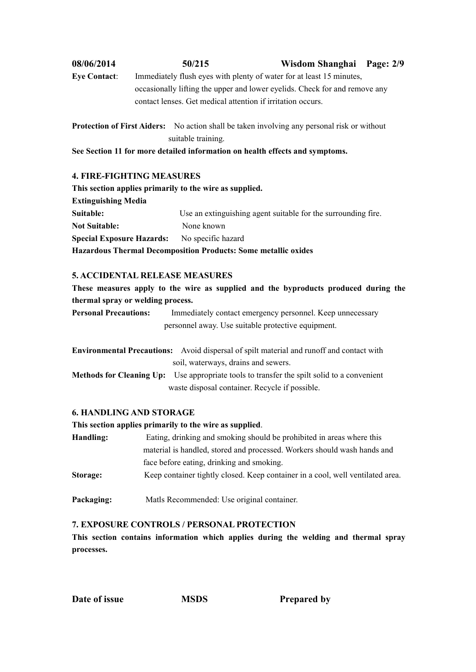| 08/06/2014          | 50/215                                                                     | Wisdom Shanghai Page: 2/9 |  |
|---------------------|----------------------------------------------------------------------------|---------------------------|--|
| <b>Eye Contact:</b> | Immediately flush eyes with plenty of water for at least 15 minutes,       |                           |  |
|                     | occasionally lifting the upper and lower eyelids. Check for and remove any |                           |  |
|                     | contact lenses. Get medical attention if irritation occurs.                |                           |  |
|                     |                                                                            |                           |  |

**Protection of First Aiders:** No action shall be taken involving any personal risk or without suitable training.

**See Section 11 for more detailed information on health effects and symptoms.**

## **4. FIRE-FIGHTING MEASURES**

| This section applies primarily to the wire as supplied. |                                                                       |
|---------------------------------------------------------|-----------------------------------------------------------------------|
| <b>Extinguishing Media</b>                              |                                                                       |
| Suitable:                                               | Use an extinguishing agent suitable for the surrounding fire.         |
| <b>Not Suitable:</b>                                    | None known                                                            |
| <b>Special Exposure Hazards:</b>                        | No specific hazard                                                    |
|                                                         | <b>Hazardous Thermal Decomposition Products: Some metallic oxides</b> |

## **5. ACCIDENTAL RELEASE MEASURES**

**These measures apply to the wire as supplied and the byproducts produced during the thermal spray or welding process.**

**Personal Precautions:** Immediately contact emergency personnel. Keep unnecessary personnel away. Use suitable protective equipment.

**Environmental Precautions:** Avoid dispersal of spilt material and runoff and contact with soil, waterways, drains and sewers.

**Methods for Cleaning Up:** Use appropriate tools to transfer the spilt solid to a convenient waste disposal container. Recycle if possible.

## **6. HANDLING AND STORAGE**

## **This section applies primarily to the wire as supplied**.

| Eating, drinking and smoking should be prohibited in areas where this          |
|--------------------------------------------------------------------------------|
| material is handled, stored and processed. Workers should wash hands and       |
| face before eating, drinking and smoking.                                      |
| Keep container tightly closed. Keep container in a cool, well ventilated area. |
|                                                                                |

Packaging: Matls Recommended: Use original container.

## **7. EXPOSURE CONTROLS / PERSONAL PROTECTION**

**This section contains information which applies during the welding and thermal spray processes.**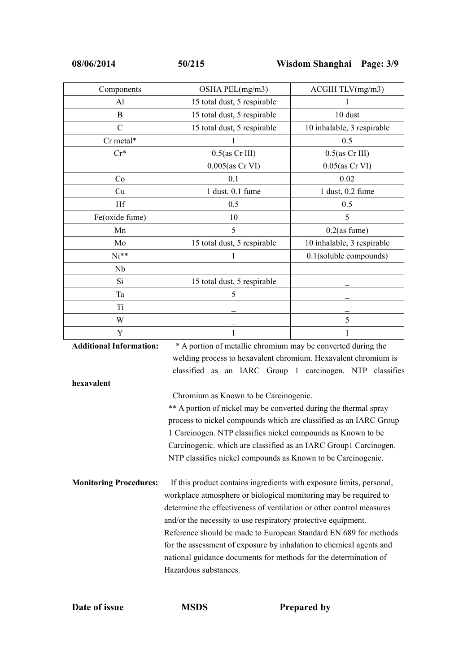| Components              | OSHA PEL(mg/m3)                                               | ACGIH TLV(mg/m3)           |
|-------------------------|---------------------------------------------------------------|----------------------------|
| Al                      | 15 total dust, 5 respirable                                   |                            |
| $\mathbf{B}$            | 15 total dust, 5 respirable                                   | 10 dust                    |
| $\mathcal{C}$           | 15 total dust, 5 respirable                                   | 10 inhalable, 3 respirable |
| Cr metal*               |                                                               | 0.5                        |
| $Cr^*$                  | $0.5$ (as Cr III)                                             | $0.5$ (as Cr III)          |
|                         | $0.005$ (as Cr VI)                                            | $0.05$ (as Cr VI)          |
| Co                      | 0.1                                                           | 0.02                       |
| Cu                      | 1 dust, 0.1 fume                                              | $1$ dust, $0.2$ fume       |
| Hf                      | 0.5                                                           | 0.5                        |
| Fe(oxide fume)          | 10                                                            | 5                          |
| Mn                      | 5                                                             | $0.2$ (as fume)            |
| Mo                      | 15 total dust, 5 respirable                                   | 10 inhalable, 3 respirable |
| $Ni**$                  |                                                               | 0.1(soluble compounds)     |
| Nb                      |                                                               |                            |
| Si                      | 15 total dust, 5 respirable                                   |                            |
| Ta                      | 5                                                             |                            |
| T <sub>i</sub>          |                                                               |                            |
| W                       |                                                               | 5                          |
| Y                       |                                                               |                            |
| Additional Informations | * A portion of motellia elementum may be converted during the |                            |

**Additional Information:** \* A portion of metallic chromium may be converted during the welding process to hexavalent chromium. Hexavalent chromium is classified as an IARC Group 1 carcinogen. NTP classifies **hexavalent** Chromium as Known to be Carcinogenic. \*\* A portion of nickel may be converted during the thermal spray process to nickel compounds which are classified as an IARC Group 1 Carcinogen. NTP classifies nickel compounds as Known to be Carcinogenic. which are classified as an IARC Group1 Carcinogen. NTP classifies nickel compounds as Known to be Carcinogenic. **Monitoring Procedures:** If this product contains ingredients with exposure limits, personal, workplace atmosphere or biological monitoring may be required to determine the effectiveness of ventilation or other control measures and/or the necessity to use respiratory protective equipment. Reference should be made to European Standard EN 689 for methods for the assessment of exposure by inhalation to chemical agents and national guidance documents for methods for the determination of Hazardous substances.

**Date of issue MSDS Prepared by**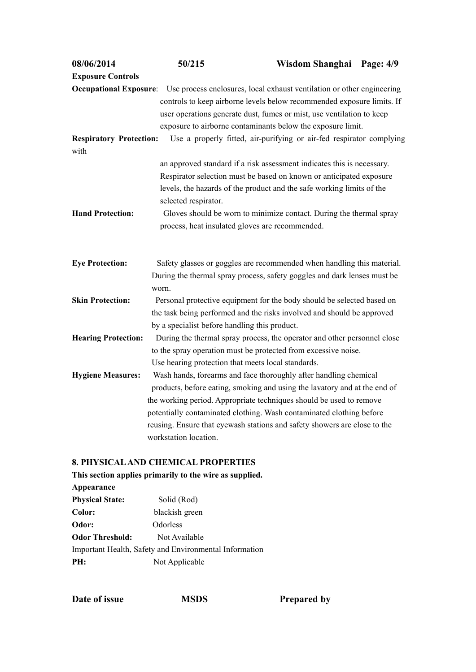| 08/06/2014                             | 50/215                                             | Wisdom Shanghai Page: 4/9                                                                                                                                                      |  |
|----------------------------------------|----------------------------------------------------|--------------------------------------------------------------------------------------------------------------------------------------------------------------------------------|--|
| <b>Exposure Controls</b>               |                                                    |                                                                                                                                                                                |  |
|                                        |                                                    | <b>Occupational Exposure:</b> Use process enclosures, local exhaust ventilation or other engineering<br>controls to keep airborne levels below recommended exposure limits. If |  |
|                                        |                                                    | user operations generate dust, fumes or mist, use ventilation to keep                                                                                                          |  |
|                                        |                                                    | exposure to airborne contaminants below the exposure limit.                                                                                                                    |  |
| <b>Respiratory Protection:</b><br>with |                                                    | Use a properly fitted, air-purifying or air-fed respirator complying                                                                                                           |  |
|                                        |                                                    | an approved standard if a risk assessment indicates this is necessary.                                                                                                         |  |
|                                        |                                                    | Respirator selection must be based on known or anticipated exposure                                                                                                            |  |
|                                        | selected respirator.                               | levels, the hazards of the product and the safe working limits of the                                                                                                          |  |
| <b>Hand Protection:</b>                |                                                    | Gloves should be worn to minimize contact. During the thermal spray<br>process, heat insulated gloves are recommended.                                                         |  |
| <b>Eye Protection:</b>                 |                                                    | Safety glasses or goggles are recommended when handling this material.                                                                                                         |  |
|                                        | worn.                                              | During the thermal spray process, safety goggles and dark lenses must be                                                                                                       |  |
| <b>Skin Protection:</b>                |                                                    | Personal protective equipment for the body should be selected based on                                                                                                         |  |
|                                        |                                                    | the task being performed and the risks involved and should be approved                                                                                                         |  |
|                                        | by a specialist before handling this product.      |                                                                                                                                                                                |  |
| <b>Hearing Protection:</b>             |                                                    | During the thermal spray process, the operator and other personnel close                                                                                                       |  |
|                                        |                                                    | to the spray operation must be protected from excessive noise.                                                                                                                 |  |
|                                        | Use hearing protection that meets local standards. |                                                                                                                                                                                |  |
| <b>Hygiene Measures:</b>               |                                                    | Wash hands, forearms and face thoroughly after handling chemical                                                                                                               |  |
|                                        |                                                    | products, before eating, smoking and using the lavatory and at the end of                                                                                                      |  |
|                                        |                                                    | the working period. Appropriate techniques should be used to remove                                                                                                            |  |
|                                        |                                                    | potentially contaminated clothing. Wash contaminated clothing before                                                                                                           |  |
|                                        |                                                    |                                                                                                                                                                                |  |
|                                        | workstation location.                              | reusing. Ensure that eyewash stations and safety showers are close to the                                                                                                      |  |
|                                        |                                                    |                                                                                                                                                                                |  |

## **8. PHYSICALAND CHEMICAL PROPERTIES**

| This section applies primarily to the wire as supplied. |                                                        |  |  |
|---------------------------------------------------------|--------------------------------------------------------|--|--|
| Appearance                                              |                                                        |  |  |
| <b>Physical State:</b>                                  | Solid (Rod)                                            |  |  |
| Color:                                                  | blackish green                                         |  |  |
| Odor:                                                   | Odorless                                               |  |  |
| <b>Odor Threshold:</b>                                  | Not Available                                          |  |  |
|                                                         | Important Health, Safety and Environmental Information |  |  |
| PH:                                                     | Not Applicable                                         |  |  |

**Date of issue MSDS Prepared by**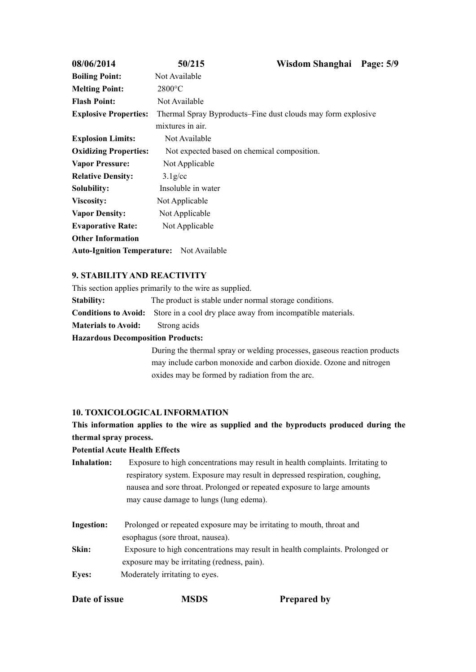| 08/06/2014                                      | 50/215                                                       | Wisdom Shanghai | Page: 5/9 |
|-------------------------------------------------|--------------------------------------------------------------|-----------------|-----------|
| <b>Boiling Point:</b>                           | Not Available                                                |                 |           |
| <b>Melting Point:</b>                           | $2800$ °C                                                    |                 |           |
| <b>Flash Point:</b>                             | Not Available                                                |                 |           |
| <b>Explosive Properties:</b>                    | Thermal Spray Byproducts–Fine dust clouds may form explosive |                 |           |
|                                                 | mixtures in air.                                             |                 |           |
| <b>Explosion Limits:</b>                        | Not Available                                                |                 |           |
| <b>Oxidizing Properties:</b>                    | Not expected based on chemical composition.                  |                 |           |
| <b>Vapor Pressure:</b>                          | Not Applicable                                               |                 |           |
| <b>Relative Density:</b>                        | $3.1$ g/cc                                                   |                 |           |
| <b>Solubility:</b>                              | Insoluble in water                                           |                 |           |
| <b>Viscosity:</b>                               | Not Applicable                                               |                 |           |
| <b>Vapor Density:</b>                           | Not Applicable                                               |                 |           |
| <b>Evaporative Rate:</b>                        | Not Applicable                                               |                 |           |
| <b>Other Information</b>                        |                                                              |                 |           |
| <b>Auto-Ignition Temperature:</b> Not Available |                                                              |                 |           |

## **9. STABILITY AND REACTIVITY**

This section applies primarily to the wire as supplied. **Stability:** The product is stable under normal storage conditions.

**Conditions to Avoid:** Store in a cool dry place away from incompatible materials.

**Materials to Avoid:** Strong acids

## **Hazardous Decomposition Products:**

During the thermal spray or welding processes, gaseous reaction products may include carbon monoxide and carbon dioxide. Ozone and nitrogen oxides may be formed by radiation from the arc.

## **10. TOXICOLOGICAL INFORMATION**

## **This information applies to the wire as supplied and the byproducts produced during the thermal spray process.**

## **Potential Acute Health Effects**

- **Inhalation:** Exposure to high concentrations may result in health complaints. Irritating to respiratory system. Exposure may result in depressed respiration, coughing, nausea and sore throat. Prolonged or repeated exposure to large amounts may cause damage to lungs (lung edema).
- **Ingestion:** Prolonged or repeated exposure may be irritating to mouth, throat and esophagus (sore throat, nausea).
- **Skin:** Exposure to high concentrations may result in health complaints. Prolonged or exposure may be irritating (redness, pain).
- **Eyes:** Moderately irritating to eyes.

| Date of issue | <b>MSDS</b> | <b>Prepared by</b> |  |
|---------------|-------------|--------------------|--|
|---------------|-------------|--------------------|--|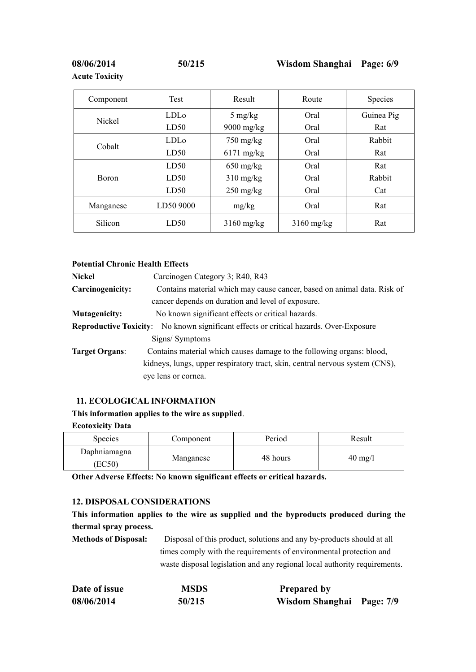**Acute Toxicity**

| Component | Test             | Result              | Route        | Species    |
|-----------|------------------|---------------------|--------------|------------|
|           | LDL <sub>o</sub> | $5 \text{ mg/kg}$   | Oral         | Guinea Pig |
| Nickel    | LD50             | $9000$ mg/kg        | Oral         | Rat        |
| Cobalt    | <b>LDL</b> o     | $750 \text{ mg/kg}$ | Oral         | Rabbit     |
|           | LD50             | $6171$ mg/kg        | Oral         | Rat        |
|           | LD50             | $650$ mg/kg         | Oral         | Rat        |
| Boron     | LD50             | $310$ mg/kg         | Oral         | Rabbit     |
|           | LD50             | $250$ mg/kg         | Oral         | Cat        |
| Manganese | LD50 9000        | mg/kg               | Oral         | Rat        |
| Silicon   | LD50             | $3160$ mg/kg        | $3160$ mg/kg | Rat        |

## **Potential Chronic Health Effects**

| <b>Nickel</b>         | Carcinogen Category 3; R40, R43                                                               |
|-----------------------|-----------------------------------------------------------------------------------------------|
| Carcinogenicity:      | Contains material which may cause cancer, based on animal data. Risk of                       |
|                       | cancer depends on duration and level of exposure.                                             |
| <b>Mutagenicity:</b>  | No known significant effects or critical hazards.                                             |
|                       | <b>Reproductive Toxicity:</b> No known significant effects or critical hazards. Over-Exposure |
|                       | Signs/Symptoms                                                                                |
| <b>Target Organs:</b> | Contains material which causes damage to the following organs: blood,                         |
|                       | kidneys, lungs, upper respiratory tract, skin, central nervous system (CNS),                  |
|                       | eye lens or cornea.                                                                           |
|                       |                                                                                               |

## **11. ECOLOGICAL INFORMATION**

## **This information applies to the wire as supplied**.

#### **Ecotoxicity Data**

| <b>Species</b>         | Component | Period   | Result            |
|------------------------|-----------|----------|-------------------|
| Daphniamagna<br>(EC50) | Manganese | 48 hours | $40 \text{ mg/l}$ |

**Other Adverse Effects: No known significant effects or critical hazards.**

## **12. DISPOSAL CONSIDERATIONS**

**This information applies to the wire as supplied and the byproducts produced during the thermal spray process.**

**Methods of Disposal:** Disposal of this product, solutions and any by-products should at all times comply with the requirements of environmental protection and waste disposal legislation and any regional local authority requirements.

| Date of issue | MSDS   | <b>Prepared by</b>        |  |
|---------------|--------|---------------------------|--|
| 08/06/2014    | 50/215 | Wisdom Shanghai Page: 7/9 |  |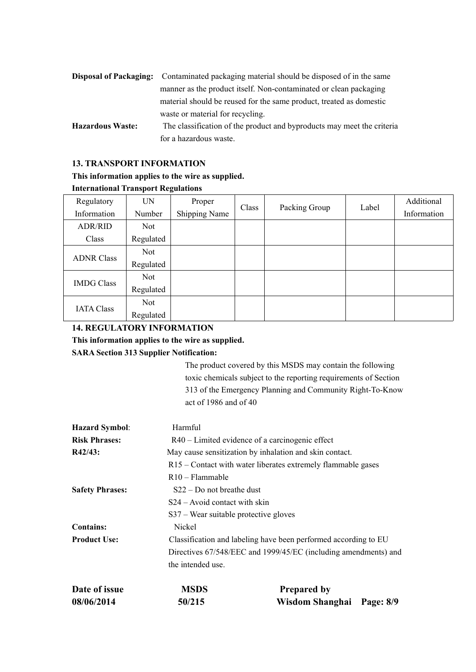|                         | <b>Disposal of Packaging:</b> Contaminated packaging material should be disposed of in the same |  |  |  |
|-------------------------|-------------------------------------------------------------------------------------------------|--|--|--|
|                         | manner as the product itself. Non-contaminated or clean packaging                               |  |  |  |
|                         | material should be reused for the same product, treated as domestic                             |  |  |  |
|                         | waste or material for recycling.                                                                |  |  |  |
| <b>Hazardous Waste:</b> | The classification of the product and byproducts may meet the criteria                          |  |  |  |
|                         | for a hazardous waste.                                                                          |  |  |  |

## **13. TRANSPORT INFORMATION**

## **This information applies to the wire as supplied.**

## **International Transport Regulations**

| Regulatory        | <b>UN</b> | Proper        | Class | Packing Group | Label | Additional  |  |
|-------------------|-----------|---------------|-------|---------------|-------|-------------|--|
| Information       | Number    | Shipping Name |       |               |       | Information |  |
| <b>ADR/RID</b>    | Not       |               |       |               |       |             |  |
| Class             | Regulated |               |       |               |       |             |  |
| <b>ADNR Class</b> | Not       |               |       |               |       |             |  |
|                   | Regulated |               |       |               |       |             |  |
| <b>IMDG Class</b> | Not       |               |       |               |       |             |  |
|                   | Regulated |               |       |               |       |             |  |
| <b>IATA Class</b> | Not       |               |       |               |       |             |  |
|                   | Regulated |               |       |               |       |             |  |

# **14. REGULATORY INFORMATION This information applies to the wire as supplied.**

## **SARA Section 313 Supplier Notification:**

The product covered by this MSDS may contain the following toxic chemicals subject to the reporting requirements of Section 313 of the Emergency Planning and Community Right-To-Know act of 1986 and of 40

| <b>Hazard Symbol:</b>  | Harmful                                           |                                                                 |  |  |  |  |  |  |
|------------------------|---------------------------------------------------|-----------------------------------------------------------------|--|--|--|--|--|--|
| <b>Risk Phrases:</b>   | $R40$ – Limited evidence of a carcinogenic effect |                                                                 |  |  |  |  |  |  |
| R42/43:                |                                                   | May cause sensitization by inhalation and skin contact.         |  |  |  |  |  |  |
|                        |                                                   | R15 – Contact with water liberates extremely flammable gases    |  |  |  |  |  |  |
|                        | R <sub>10</sub> - Flammable                       |                                                                 |  |  |  |  |  |  |
| <b>Safety Phrases:</b> | $S22 - Do$ not breathe dust                       |                                                                 |  |  |  |  |  |  |
|                        | $S24 - Avoid contact with skin$                   |                                                                 |  |  |  |  |  |  |
|                        | $S37$ – Wear suitable protective gloves           |                                                                 |  |  |  |  |  |  |
| <b>Contains:</b>       | Nickel                                            |                                                                 |  |  |  |  |  |  |
| <b>Product Use:</b>    |                                                   | Classification and labeling have been performed according to EU |  |  |  |  |  |  |
|                        |                                                   | Directives 67/548/EEC and 1999/45/EC (including amendments) and |  |  |  |  |  |  |
|                        | the intended use.                                 |                                                                 |  |  |  |  |  |  |
| Date of issue          | <b>MSDS</b>                                       | <b>Prepared by</b>                                              |  |  |  |  |  |  |
| 08/06/2014             | 50/215                                            | Wisdom Shanghai Page: 8/9                                       |  |  |  |  |  |  |